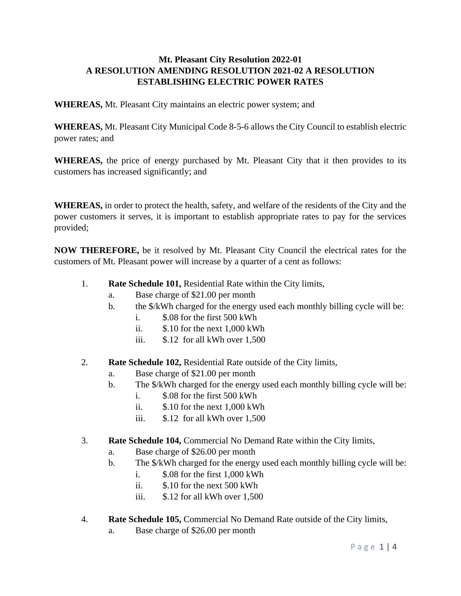## **Mt. Pleasant City Resolution 2022-01 A RESOLUTION AMENDING RESOLUTION 2021-02 A RESOLUTION ESTABLISHING ELECTRIC POWER RATES**

**WHEREAS,** Mt. Pleasant City maintains an electric power system; and

**WHEREAS,** Mt. Pleasant City Municipal Code 8-5-6 allows the City Council to establish electric power rates; and

**WHEREAS,** the price of energy purchased by Mt. Pleasant City that it then provides to its customers has increased significantly; and

**WHEREAS,** in order to protect the health, safety, and welfare of the residents of the City and the power customers it serves, it is important to establish appropriate rates to pay for the services provided;

**NOW THEREFORE,** be it resolved by Mt. Pleasant City Council the electrical rates for the customers of Mt. Pleasant power will increase by a quarter of a cent as follows:

- 1. **Rate Schedule 101,** Residential Rate within the City limits,
	- a. Base charge of \$21.00 per month
	- b. the \$/kWh charged for the energy used each monthly billing cycle will be:
		- i. \$.08 for the first 500 kWh
		- ii. \$.10 for the next 1,000 kWh
		- iii. \$.12 for all kWh over 1,500
- 2. **Rate Schedule 102,** Residential Rate outside of the City limits,
	- a. Base charge of \$21.00 per month
	- b. The \$/kWh charged for the energy used each monthly billing cycle will be:
		- i. \$.08 for the first 500 kWh
		- ii. \$.10 for the next 1,000 kWh
		- iii. \$.12 for all kWh over 1,500
- 3. **Rate Schedule 104,** Commercial No Demand Rate within the City limits,
	- a. Base charge of \$26.00 per month
	- b. The \$/kWh charged for the energy used each monthly billing cycle will be:
		- i. \$.08 for the first 1,000 kWh
		- ii. \$.10 for the next 500 kWh
		- iii. \$.12 for all kWh over 1,500
- 4. **Rate Schedule 105,** Commercial No Demand Rate outside of the City limits,
	- a. Base charge of \$26.00 per month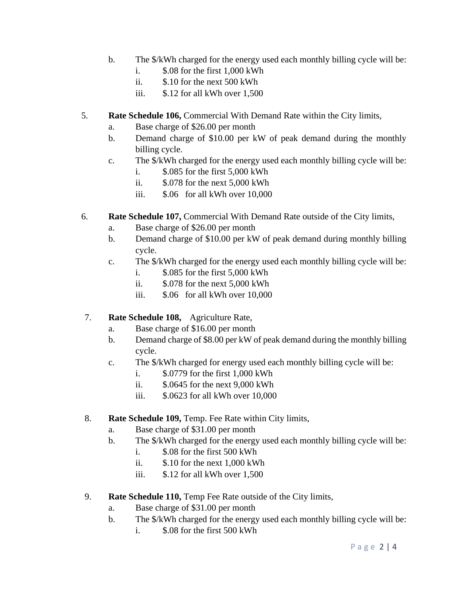- b. The \$/kWh charged for the energy used each monthly billing cycle will be:
	- i. \$.08 for the first 1,000 kWh
	- ii. \$.10 for the next 500 kWh
	- iii. \$.12 for all kWh over 1,500
- 5. **Rate Schedule 106,** Commercial With Demand Rate within the City limits,
	- a. Base charge of \$26.00 per month
	- b. Demand charge of \$10.00 per kW of peak demand during the monthly billing cycle.
	- c. The \$/kWh charged for the energy used each monthly billing cycle will be: i. \$.085 for the first 5,000 kWh
		- ii. \$.078 for the next 5,000 kWh
		- iii. \$.06 for all kWh over 10,000
- 6. **Rate Schedule 107,** Commercial With Demand Rate outside of the City limits,
	- a. Base charge of \$26.00 per month
	- b. Demand charge of \$10.00 per kW of peak demand during monthly billing cycle.
	- c. The \$/kWh charged for the energy used each monthly billing cycle will be:
		- i. \$.085 for the first 5,000 kWh
		- ii. \$.078 for the next 5,000 kWh
		- iii. \$.06 for all kWh over 10,000
- 7. **Rate Schedule 108,** Agriculture Rate,
	- a. Base charge of \$16.00 per month
	- b. Demand charge of \$8.00 per kW of peak demand during the monthly billing cycle.
	- c. The \$/kWh charged for energy used each monthly billing cycle will be:
		- i. \$.0779 for the first 1,000 kWh
		- ii. \$.0645 for the next 9,000 kWh
		- iii. \$.0623 for all kWh over 10,000
- 8. **Rate Schedule 109,** Temp. Fee Rate within City limits,
	- a. Base charge of \$31.00 per month
	- b. The \$/kWh charged for the energy used each monthly billing cycle will be:
		- i. \$.08 for the first 500 kWh
		- ii. \$.10 for the next 1,000 kWh
		- iii. \$.12 for all kWh over 1,500
- 9. **Rate Schedule 110,** Temp Fee Rate outside of the City limits,
	- a. Base charge of \$31.00 per month
	- b. The \$/kWh charged for the energy used each monthly billing cycle will be:
		- i. \$.08 for the first 500 kWh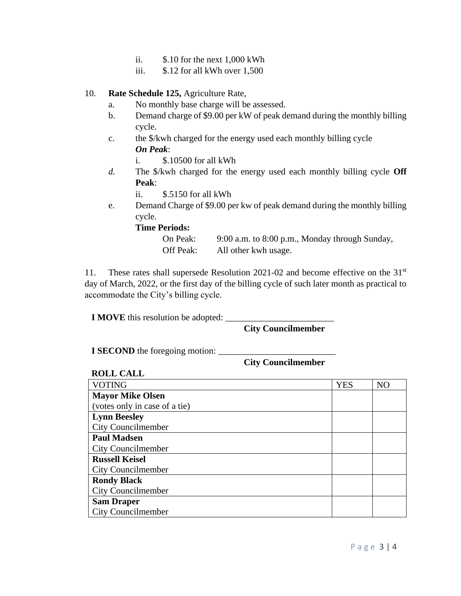- ii. \$.10 for the next 1,000 kWh
- iii. \$.12 for all kWh over 1,500

## 10. **Rate Schedule 125,** Agriculture Rate,

- a. No monthly base charge will be assessed.
- b. Demand charge of \$9.00 per kW of peak demand during the monthly billing cycle.
- c. the \$/kwh charged for the energy used each monthly billing cycle *On Peak*:
	- i. \$.10500 for all kWh
- *d.* The \$/kwh charged for the energy used each monthly billing cycle **Off Peak**:

ii. \$.5150 for all kWh

e. Demand Charge of \$9.00 per kw of peak demand during the monthly billing cycle.

**Time Periods:**

On Peak: 9:00 a.m. to 8:00 p.m., Monday through Sunday, Off Peak: All other kwh usage.

11. These rates shall supersede Resolution 2021-02 and become effective on the 31<sup>st</sup> day of March, 2022, or the first day of the billing cycle of such later month as practical to accommodate the City's billing cycle.

**I MOVE** this resolution be adopted: \_\_\_\_\_\_\_\_\_\_\_\_\_\_\_\_\_\_\_\_\_\_\_\_

**City Councilmember**

**I SECOND** the foregoing motion:

**City Councilmember**

**ROLL CALL**

| <b>VOTING</b>                 | <b>YES</b> | N <sub>O</sub> |
|-------------------------------|------------|----------------|
| <b>Mayor Mike Olsen</b>       |            |                |
| (votes only in case of a tie) |            |                |
| <b>Lynn Beesley</b>           |            |                |
| <b>City Councilmember</b>     |            |                |
| <b>Paul Madsen</b>            |            |                |
| <b>City Councilmember</b>     |            |                |
| <b>Russell Keisel</b>         |            |                |
| <b>City Councilmember</b>     |            |                |
| <b>Rondy Black</b>            |            |                |
| <b>City Councilmember</b>     |            |                |
| <b>Sam Draper</b>             |            |                |
| <b>City Councilmember</b>     |            |                |